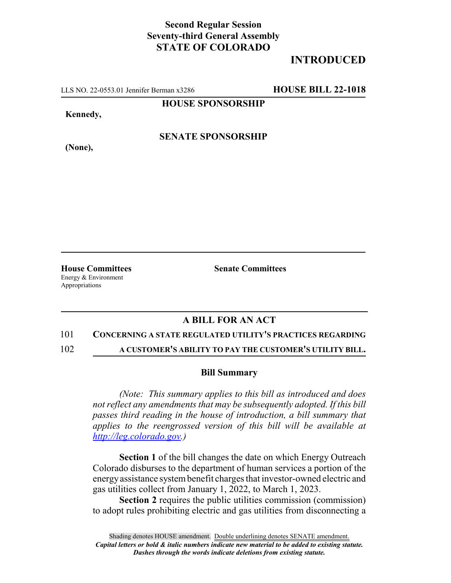## **Second Regular Session Seventy-third General Assembly STATE OF COLORADO**

# **INTRODUCED**

LLS NO. 22-0553.01 Jennifer Berman x3286 **HOUSE BILL 22-1018**

**HOUSE SPONSORSHIP**

**Kennedy,**

**(None),**

### **SENATE SPONSORSHIP**

**House Committees Senate Committees** Energy & Environment Appropriations

### **A BILL FOR AN ACT**

#### 101 **CONCERNING A STATE REGULATED UTILITY'S PRACTICES REGARDING**

102 **A CUSTOMER'S ABILITY TO PAY THE CUSTOMER'S UTILITY BILL.**

#### **Bill Summary**

*(Note: This summary applies to this bill as introduced and does not reflect any amendments that may be subsequently adopted. If this bill passes third reading in the house of introduction, a bill summary that applies to the reengrossed version of this bill will be available at http://leg.colorado.gov.)*

**Section 1** of the bill changes the date on which Energy Outreach Colorado disburses to the department of human services a portion of the energy assistance system benefit charges that investor-owned electric and gas utilities collect from January 1, 2022, to March 1, 2023.

**Section 2** requires the public utilities commission (commission) to adopt rules prohibiting electric and gas utilities from disconnecting a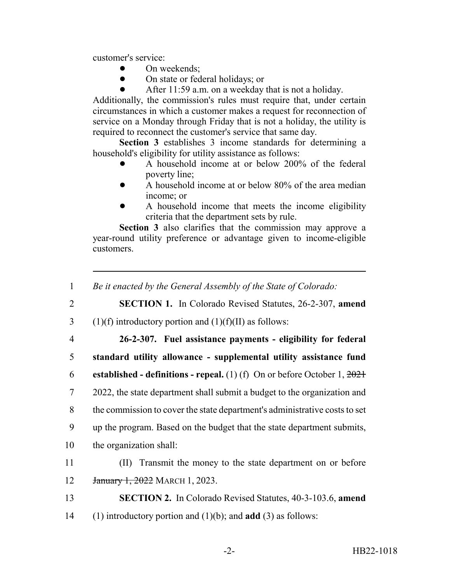customer's service:

- On weekends;
- On state or federal holidays; or
- After 11:59 a.m. on a weekday that is not a holiday.

Additionally, the commission's rules must require that, under certain circumstances in which a customer makes a request for reconnection of service on a Monday through Friday that is not a holiday, the utility is required to reconnect the customer's service that same day.

**Section 3** establishes 3 income standards for determining a household's eligibility for utility assistance as follows:

- ! A household income at or below 200% of the federal poverty line;
- $\bullet$  A household income at or below 80% of the area median income; or
- ! A household income that meets the income eligibility criteria that the department sets by rule.

**Section 3** also clarifies that the commission may approve a year-round utility preference or advantage given to income-eligible customers.

- 1 *Be it enacted by the General Assembly of the State of Colorado:*
- 2 **SECTION 1.** In Colorado Revised Statutes, 26-2-307, **amend**
- 3 (1)(f) introductory portion and  $(1)(f)(II)$  as follows:
- 

4 **26-2-307. Fuel assistance payments - eligibility for federal** 5 **standard utility allowance - supplemental utility assistance fund**

6 **established - definitions - repeal.** (1) (f) On or before October 1, 2021

7 2022, the state department shall submit a budget to the organization and 8 the commission to cover the state department's administrative costs to set

- 9 up the program. Based on the budget that the state department submits, 10 the organization shall:
- 11 (II) Transmit the money to the state department on or before 12 January 1, 2022 MARCH 1, 2023.
- 13 **SECTION 2.** In Colorado Revised Statutes, 40-3-103.6, **amend** 14 (1) introductory portion and (1)(b); and **add** (3) as follows: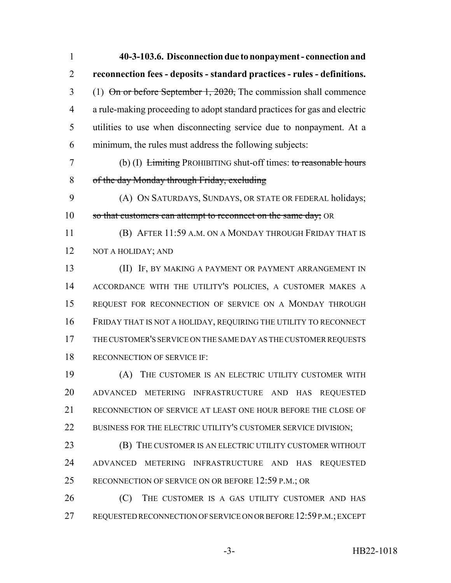| 1              | 40-3-103.6. Disconnection due to nonpayment - connection and                                         |
|----------------|------------------------------------------------------------------------------------------------------|
| $\overline{2}$ | reconnection fees - deposits - standard practices - rules - definitions.                             |
| 3              | (1) $\Theta$ n or before September 1, 2020, The commission shall commence                            |
| $\overline{4}$ | a rule-making proceeding to adopt standard practices for gas and electric                            |
| 5              | utilities to use when disconnecting service due to nonpayment. At a                                  |
| 6              | minimum, the rules must address the following subjects:                                              |
| 7              | (b) (I) $\overline{\text{Limiting}}$ PROHIBITING shut-off times: to reasonable hours                 |
| 8              | of the day Monday through Friday, excluding                                                          |
| 9              | (A) ON SATURDAYS, SUNDAYS, OR STATE OR FEDERAL holidays;                                             |
| 10             | so that customers can attempt to reconnect on the same day; OR                                       |
| 11             | (B) AFTER 11:59 A.M. ON A MONDAY THROUGH FRIDAY THAT IS                                              |
| 12             | NOT A HOLIDAY; AND                                                                                   |
| 13             | (II) IF, BY MAKING A PAYMENT OR PAYMENT ARRANGEMENT IN                                               |
| 14             | ACCORDANCE WITH THE UTILITY'S POLICIES, A CUSTOMER MAKES A                                           |
| 15             | REQUEST FOR RECONNECTION OF SERVICE ON A MONDAY THROUGH                                              |
| 16             | FRIDAY THAT IS NOT A HOLIDAY, REQUIRING THE UTILITY TO RECONNECT                                     |
| 17             | THE CUSTOMER'S SERVICE ON THE SAME DAY AS THE CUSTOMER REQUESTS                                      |
| 18             | RECONNECTION OF SERVICE IF:                                                                          |
| 19             | (A) THE CUSTOMER IS AN ELECTRIC UTILITY CUSTOMER WITH                                                |
| 20             | ADVANCED METERING INFRASTRUCTURE AND HAS REQUESTED                                                   |
| 21             | RECONNECTION OF SERVICE AT LEAST ONE HOUR BEFORE THE CLOSE OF                                        |
| 22             | BUSINESS FOR THE ELECTRIC UTILITY'S CUSTOMER SERVICE DIVISION;                                       |
| 23             | (B) THE CUSTOMER IS AN ELECTRIC UTILITY CUSTOMER WITHOUT                                             |
| 24             | <b>ADVANCED</b><br><b>METERING</b><br><b>INFRASTRUCTURE</b><br>AND<br><b>HAS</b><br><b>REQUESTED</b> |
| 25             | RECONNECTION OF SERVICE ON OR BEFORE 12:59 P.M.; OR                                                  |
| 26             | (C)<br>THE CUSTOMER IS A GAS UTILITY CUSTOMER AND HAS                                                |
| 27             | REQUESTED RECONNECTION OF SERVICE ON OR BEFORE 12:59 P.M.; EXCEPT                                    |

-3- HB22-1018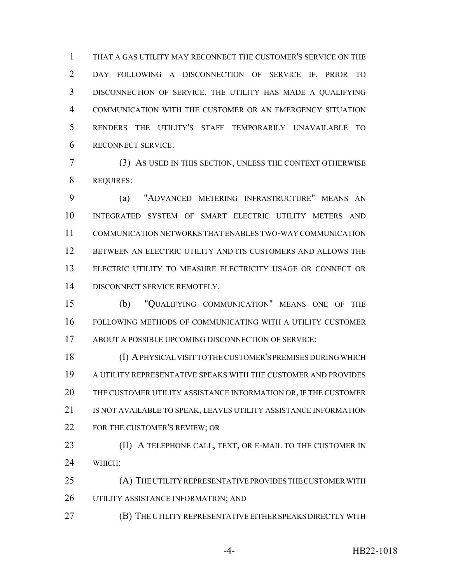THAT A GAS UTILITY MAY RECONNECT THE CUSTOMER'S SERVICE ON THE DAY FOLLOWING A DISCONNECTION OF SERVICE IF, PRIOR TO DISCONNECTION OF SERVICE, THE UTILITY HAS MADE A QUALIFYING COMMUNICATION WITH THE CUSTOMER OR AN EMERGENCY SITUATION RENDERS THE UTILITY'S STAFF TEMPORARILY UNAVAILABLE TO RECONNECT SERVICE.

 (3) AS USED IN THIS SECTION, UNLESS THE CONTEXT OTHERWISE REQUIRES:

 (a) "ADVANCED METERING INFRASTRUCTURE" MEANS AN INTEGRATED SYSTEM OF SMART ELECTRIC UTILITY METERS AND COMMUNICATION NETWORKS THAT ENABLES TWO-WAY COMMUNICATION BETWEEN AN ELECTRIC UTILITY AND ITS CUSTOMERS AND ALLOWS THE ELECTRIC UTILITY TO MEASURE ELECTRICITY USAGE OR CONNECT OR DISCONNECT SERVICE REMOTELY.

 (b) "QUALIFYING COMMUNICATION" MEANS ONE OF THE FOLLOWING METHODS OF COMMUNICATING WITH A UTILITY CUSTOMER ABOUT A POSSIBLE UPCOMING DISCONNECTION OF SERVICE:

 (I) A PHYSICAL VISIT TO THE CUSTOMER'S PREMISES DURING WHICH A UTILITY REPRESENTATIVE SPEAKS WITH THE CUSTOMER AND PROVIDES THE CUSTOMER UTILITY ASSISTANCE INFORMATION OR, IF THE CUSTOMER IS NOT AVAILABLE TO SPEAK, LEAVES UTILITY ASSISTANCE INFORMATION FOR THE CUSTOMER'S REVIEW; OR

**(II)** A TELEPHONE CALL, TEXT, OR E-MAIL TO THE CUSTOMER IN WHICH:

 (A) THE UTILITY REPRESENTATIVE PROVIDES THE CUSTOMER WITH UTILITY ASSISTANCE INFORMATION; AND

(B) THE UTILITY REPRESENTATIVE EITHER SPEAKS DIRECTLY WITH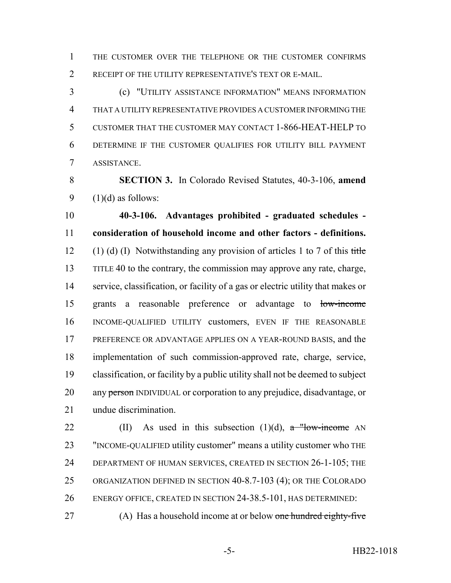THE CUSTOMER OVER THE TELEPHONE OR THE CUSTOMER CONFIRMS RECEIPT OF THE UTILITY REPRESENTATIVE'S TEXT OR E-MAIL.

 (c) "UTILITY ASSISTANCE INFORMATION" MEANS INFORMATION THAT A UTILITY REPRESENTATIVE PROVIDES A CUSTOMER INFORMING THE CUSTOMER THAT THE CUSTOMER MAY CONTACT 1-866-HEAT-HELP TO DETERMINE IF THE CUSTOMER QUALIFIES FOR UTILITY BILL PAYMENT ASSISTANCE.

 **SECTION 3.** In Colorado Revised Statutes, 40-3-106, **amend** 9  $(1)(d)$  as follows:

 **40-3-106. Advantages prohibited - graduated schedules - consideration of household income and other factors - definitions.** 12 (1) (d) (I) Notwithstanding any provision of articles 1 to 7 of this title TITLE 40 to the contrary, the commission may approve any rate, charge, service, classification, or facility of a gas or electric utility that makes or grants a reasonable preference or advantage to low-income INCOME-QUALIFIED UTILITY customers, EVEN IF THE REASONABLE PREFERENCE OR ADVANTAGE APPLIES ON A YEAR-ROUND BASIS, and the implementation of such commission-approved rate, charge, service, classification, or facility by a public utility shall not be deemed to subject 20 any person INDIVIDUAL or corporation to any prejudice, disadvantage, or undue discrimination.

22 (II) As used in this subsection  $(1)(d)$ , a "low-income AN "INCOME-QUALIFIED utility customer" means a utility customer who THE DEPARTMENT OF HUMAN SERVICES, CREATED IN SECTION 26-1-105; THE ORGANIZATION DEFINED IN SECTION 40-8.7-103 (4); OR THE COLORADO ENERGY OFFICE, CREATED IN SECTION 24-38.5-101, HAS DETERMINED:

27 (A) Has a household income at or below one hundred eighty-five